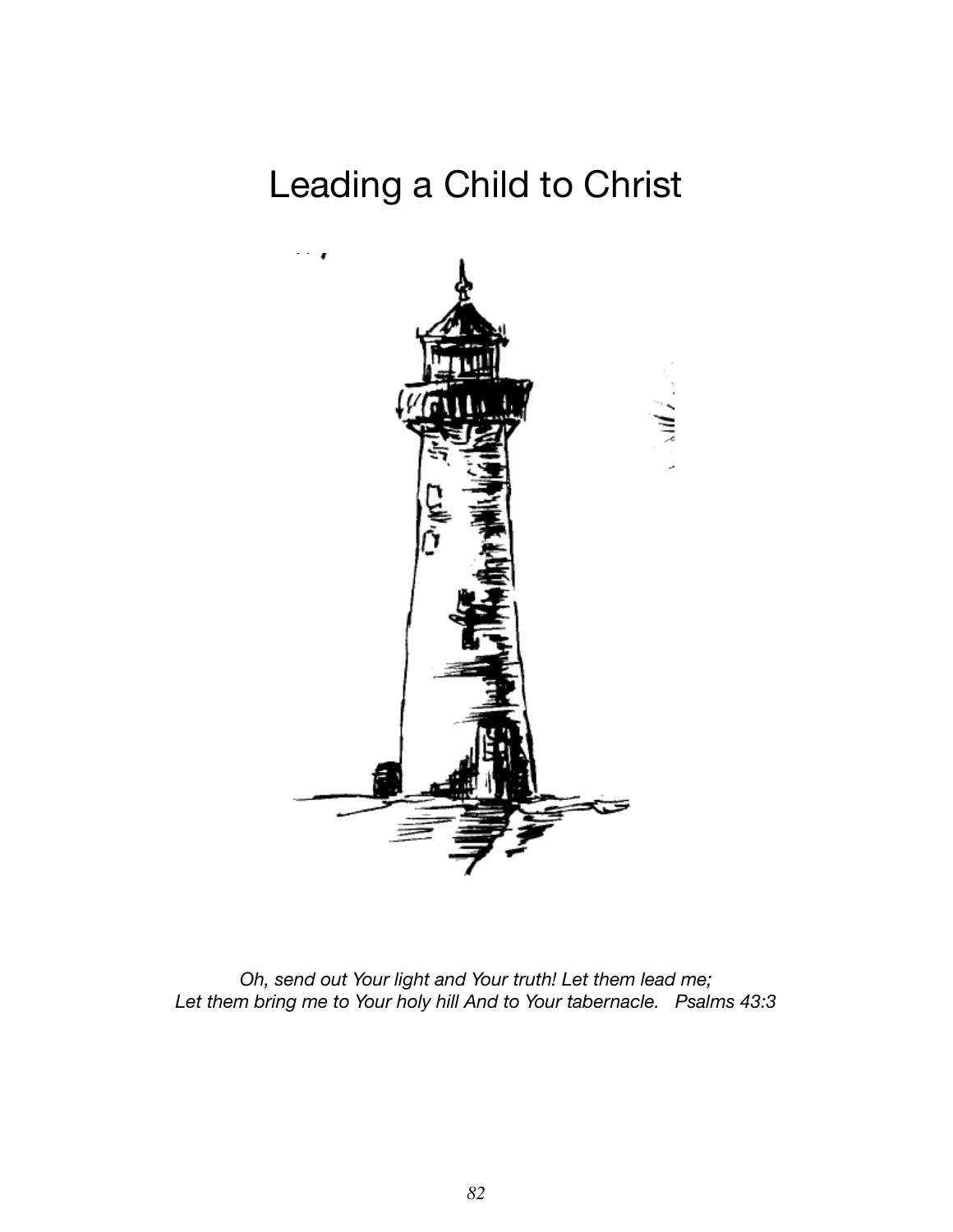## Leading a Child to Christ



*Oh, send out Your light and Your truth! Let them lead me; Let them bring me to Your holy hill And to Your tabernacle. Psalms 43:3*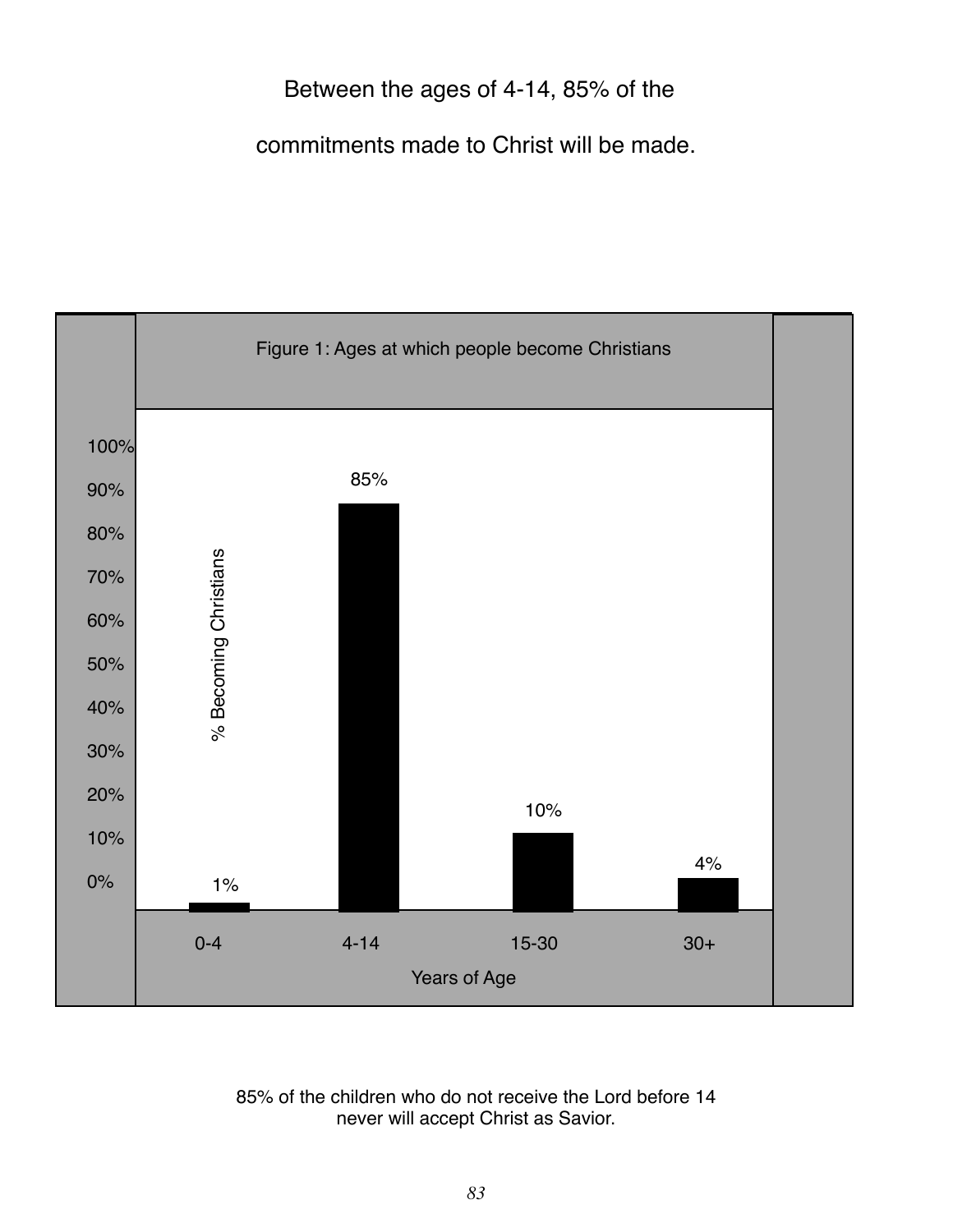#### Between the ages of 4-14, 85% of the

commitments made to Christ will be made.



85% of the children who do not receive the Lord before 14 never will accept Christ as Savior.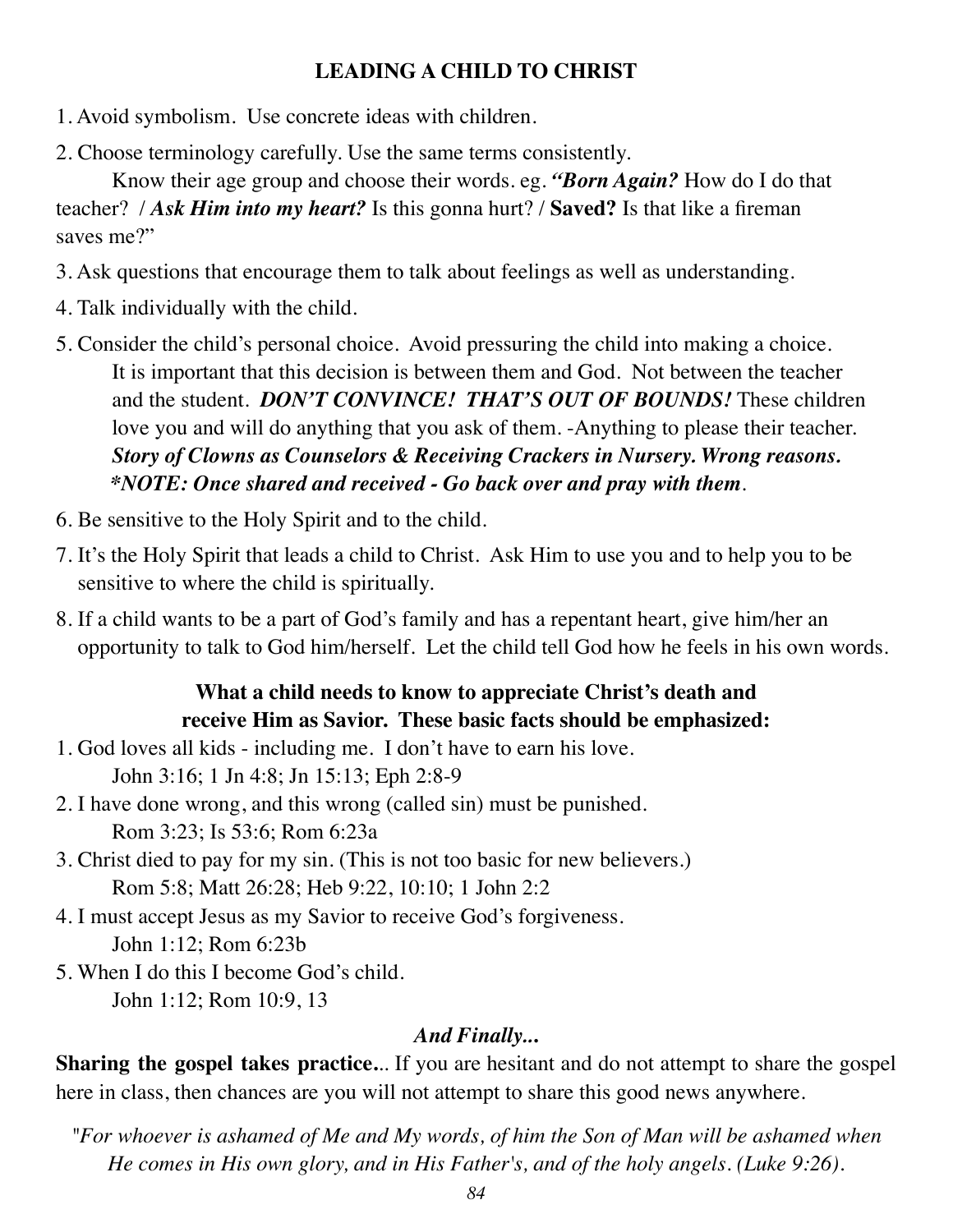#### **LEADING A CHILD TO CHRIST**

- 1. Avoid symbolism. Use concrete ideas with children.
- 2. Choose terminology carefully. Use the same terms consistently.

Know their age group and choose their words. eg. *"Born Again?* How do I do that teacher? / *Ask Him into my heart?* Is this gonna hurt? / **Saved?** Is that like a fireman saves me?"

- 3. Ask questions that encourage them to talk about feelings as well as understanding.
- 4. Talk individually with the child.
- 5. Consider the child's personal choice. Avoid pressuring the child into making a choice. It is important that this decision is between them and God. Not between the teacher and the student. *DON'T CONVINCE! THAT'S OUT OF BOUNDS!* These children love you and will do anything that you ask of them. -Anything to please their teacher. *Story of Clowns as Counselors & Receiving Crackers in Nursery. Wrong reasons. \*NOTE: Once shared and received - Go back over and pray with them*.
- 6. Be sensitive to the Holy Spirit and to the child.
- 7. It's the Holy Spirit that leads a child to Christ. Ask Him to use you and to help you to be sensitive to where the child is spiritually.
- 8. If a child wants to be a part of God's family and has a repentant heart, give him/her an opportunity to talk to God him/herself. Let the child tell God how he feels in his own words.

#### **What a child needs to know to appreciate Christ's death and receive Him as Savior. These basic facts should be emphasized:**

- 1. God loves all kids including me. I don't have to earn his love. John 3:16; 1 Jn 4:8; Jn 15:13; Eph 2:8-9
- 2. I have done wrong, and this wrong (called sin) must be punished. Rom 3:23; Is 53:6; Rom 6:23a
- 3. Christ died to pay for my sin. (This is not too basic for new believers.) Rom 5:8; Matt 26:28; Heb 9:22, 10:10; 1 John 2:2
- 4. I must accept Jesus as my Savior to receive God's forgiveness. John 1:12; Rom 6:23b
- 5. When I do this I become God's child.

John 1:12; Rom 10:9, 13

#### *And Finally..***.**

**Sharing the gospel takes practice.**.. If you are hesitant and do not attempt to share the gospel here in class, then chances are you will not attempt to share this good news anywhere.

*"For whoever is ashamed of Me and My words, of him the Son of Man will be ashamed when He comes in His own glory, and in His Father's, and of the holy angels. (Luke 9:26).*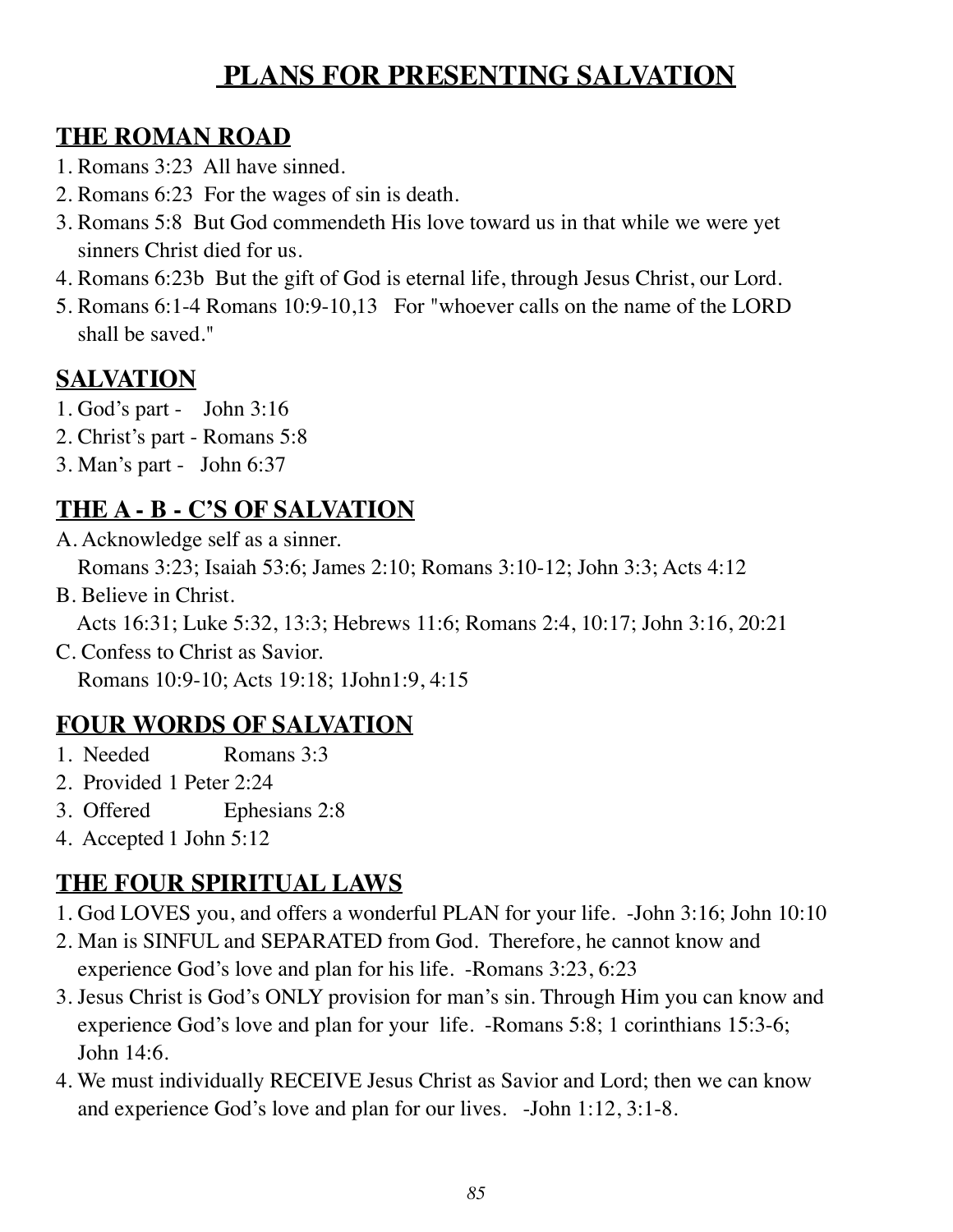## **PLANS FOR PRESENTING SALVATION**

#### **THE ROMAN ROAD**

- 1. Romans 3:23 All have sinned.
- 2. Romans 6:23 For the wages of sin is death.
- 3. Romans 5:8 But God commendeth His love toward us in that while we were yet sinners Christ died for us.
- 4. Romans 6:23b But the gift of God is eternal life, through Jesus Christ, our Lord.
- 5. Romans 6:1-4 Romans 10:9-10,13 For "whoever calls on the name of the LORD shall be saved."

## **SALVATION**

- 1. God's part John 3:16
- 2. Christ's part Romans 5:8
- 3. Man's part John 6:37

#### **THE A - B - C'S OF SALVATION**

- A. Acknowledge self as a sinner. Romans 3:23; Isaiah 53:6; James 2:10; Romans 3:10-12; John 3:3; Acts 4:12
- B. Believe in Christ.

Acts 16:31; Luke 5:32, 13:3; Hebrews 11:6; Romans 2:4, 10:17; John 3:16, 20:21

C. Confess to Christ as Savior.

Romans 10:9-10; Acts 19:18; 1John1:9, 4:15

## **FOUR WORDS OF SALVATION**

- 1. Needed Romans 3:3
- 2. Provided 1 Peter 2:24
- 3. Offered Ephesians 2:8
- 4. Accepted 1 John 5:12

## **THE FOUR SPIRITUAL LAWS**

- 1. God LOVES you, and offers a wonderful PLAN for your life. -John 3:16; John 10:10
- 2. Man is SINFUL and SEPARATED from God. Therefore, he cannot know and experience God's love and plan for his life. -Romans 3:23, 6:23
- 3. Jesus Christ is God's ONLY provision for man's sin. Through Him you can know and experience God's love and plan for your life. -Romans 5:8; 1 corinthians 15:3-6; John 14:6.
- 4. We must individually RECEIVE Jesus Christ as Savior and Lord; then we can know and experience God's love and plan for our lives. -John 1:12, 3:1-8.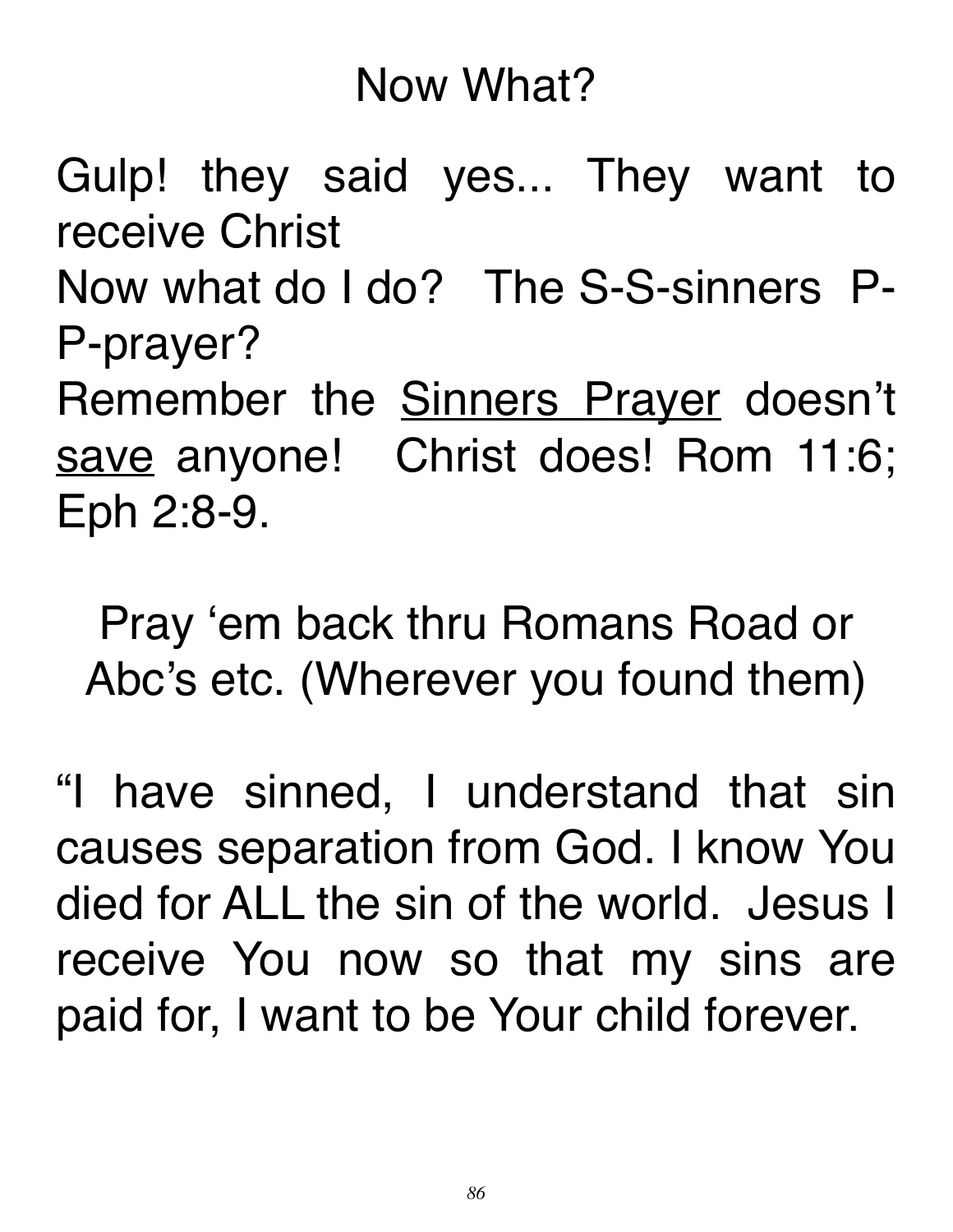# Now What?

Gulp! they said yes... They want to receive Christ

Now what do I do? The S-S-sinners P-P-prayer?

Remember the **Sinners Prayer** doesn't save anyone! Christ does! Rom 11:6; Eph 2:8-9.

Pray 'em back thru Romans Road or Abc's etc. (Wherever you found them)

"I have sinned, I understand that sin causes separation from God. I know You died for ALL the sin of the world. Jesus I receive You now so that my sins are paid for, I want to be Your child forever.